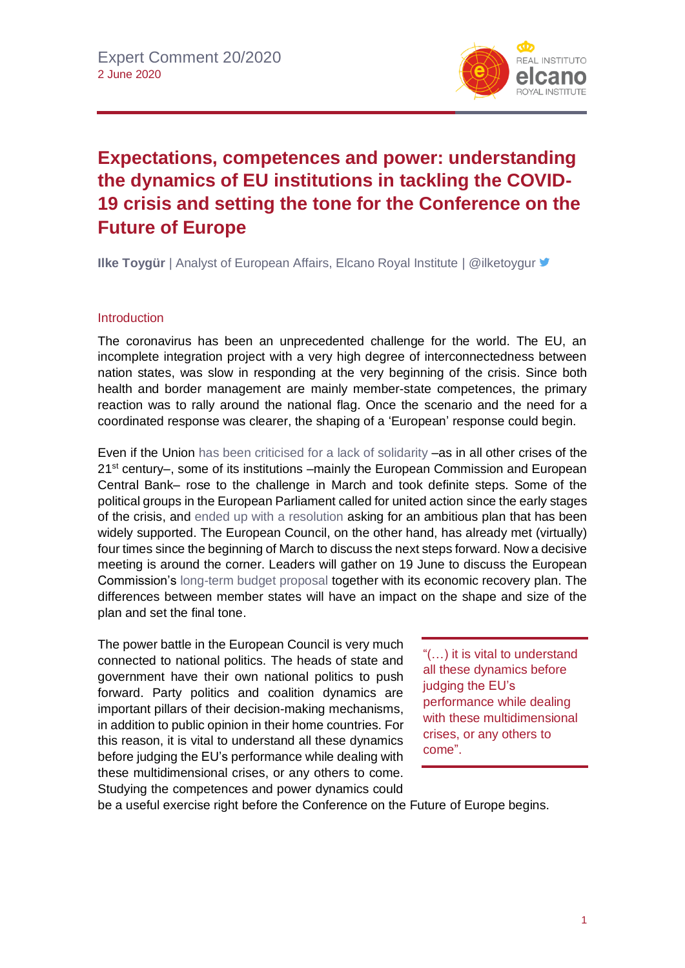

## **Expectations, competences and power: understanding the dynamics of EU institutions in tackling the COVID-19 crisis and setting the tone for the Conference on the Future of Europe**

**Ilke Toygür** | Analyst of European Affairs, Elcano Royal Institute | @ilketoygur **■** 

## Introduction

The coronavirus has been an unprecedented challenge for the world. The EU, an incomplete integration project with a very high degree of interconnectedness between nation states, was slow in responding at the very beginning of the crisis. Since both health and border management are mainly member-state competences, the primary reaction was to rally around the national flag. Once the scenario and the need for a coordinated response was clearer, the shaping of a 'European' response could begin.

Even if the Union [has been criticised for](http://www.realinstitutoelcano.org/wps/portal/rielcano_en/contenido?WCM_GLOBAL_CONTEXT=/elcano/elcano_in/zonas_in/europe/commentary-toygur-eu-coronavirus-and-crisis-management-is-solidarity-real-or-just-a-prop) a lack of solidarity –as in all other crises of the 21<sup>st</sup> century–, some of its institutions –mainly the European Commission and European Central Bank– rose to the challenge in March and took definite steps. Some of the political groups in the European Parliament called for united action since the early stages of the crisis, and [ended up with a resolution](https://www.europarl.europa.eu/doceo/document/TA-9-2020-0124_EN.html) asking for an ambitious plan that has been widely supported. The European Council, on the other hand, has already met (virtually) four times since the beginning of March to discuss the next steps forward. Now a decisive meeting is around the corner. Leaders will gather on 19 June to discuss the European Commission's [long-term budget proposal](https://ec.europa.eu/info/strategy/eu-budget/eu-long-term-budget/2021-2027_en) together with its economic recovery plan. The differences between member states will have an impact on the shape and size of the plan and set the final tone.

The power battle in the European Council is very much connected to national politics. The heads of state and government have their own national politics to push forward. Party politics and coalition dynamics are important pillars of their decision-making mechanisms, in addition to public opinion in their home countries. For this reason, it is vital to understand all these dynamics before judging the EU's performance while dealing with these multidimensional crises, or any others to come. Studying the competences and power dynamics could

"(…) it is vital to understand all these dynamics before judging the EU's performance while dealing with these multidimensional crises, or any others to come".

be a useful exercise right before the Conference on the Future of Europe begins.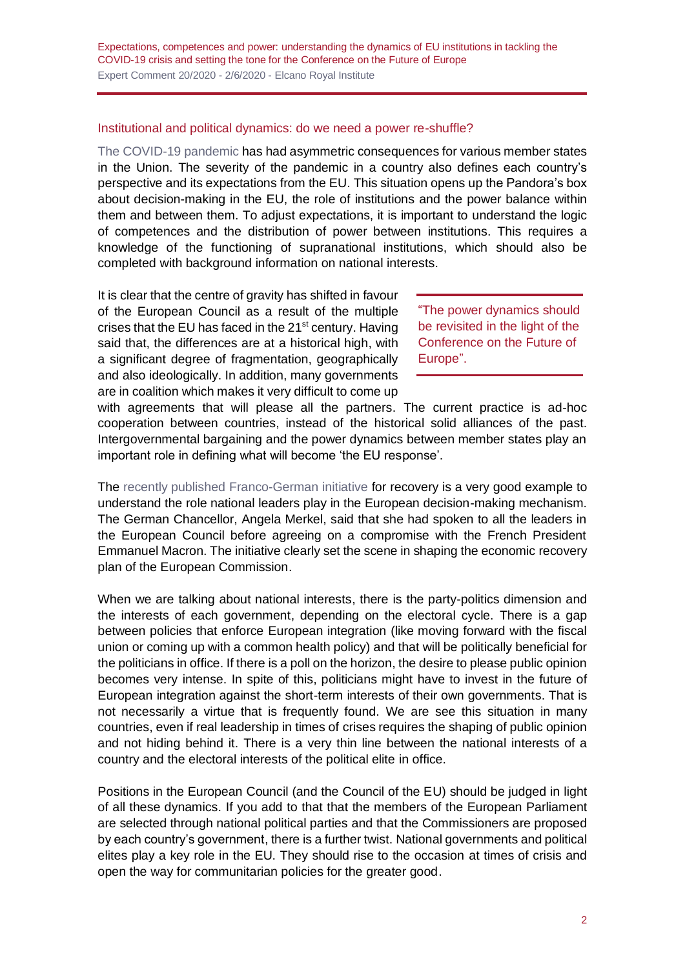## Institutional and political dynamics: do we need a power re-shuffle?

[The COVID-19 pandemic](https://especiales.realinstitutoelcano.org/coronavirus/?lang=en) has had asymmetric consequences for various member states in the Union. The severity of the pandemic in a country also defines each country's perspective and its expectations from the EU. This situation opens up the Pandora's box about decision-making in the EU, the role of institutions and the power balance within them and between them. To adjust expectations, it is important to understand the logic of competences and the distribution of power between institutions. This requires a knowledge of the functioning of supranational institutions, which should also be completed with background information on national interests.

It is clear that the centre of gravity has shifted in favour of the European Council as a result of the multiple crises that the EU has faced in the  $21<sup>st</sup>$  century. Having said that, the differences are at a historical high, with a significant degree of fragmentation, geographically and also ideologically. In addition, many governments are in coalition which makes it very difficult to come up

"The power dynamics should be revisited in the light of the Conference on the Future of Europe".

with agreements that will please all the partners. The current practice is ad-hoc cooperation between countries, instead of the historical solid alliances of the past. Intergovernmental bargaining and the power dynamics between member states play an important role in defining what will become 'the EU response'.

The [recently published Franco-German initiative](https://www.bundeskanzlerin.de/resource/blob/656734/1753772/414a4b5a1ca91d4f7146eeb2b39ee72b/2020-05-18-deutsch-franzoesischer-erklaerung-eng-data.pdf) for recovery is a very good example to understand the role national leaders play in the European decision-making mechanism. The German Chancellor, Angela Merkel, said that she had spoken to all the leaders in the European Council before agreeing on a compromise with the French President Emmanuel Macron. The initiative clearly set the scene in shaping the economic recovery plan of the European Commission.

When we are talking about national interests, there is the party-politics dimension and the interests of each government, depending on the electoral cycle. There is a gap between policies that enforce European integration (like moving forward with the fiscal union or coming up with a common health policy) and that will be politically beneficial for the politicians in office. If there is a poll on the horizon, the desire to please public opinion becomes very intense. In spite of this, politicians might have to invest in the future of European integration against the short-term interests of their own governments. That is not necessarily a virtue that is frequently found. We are see this situation in many countries, even if real leadership in times of crises requires the shaping of public opinion and not hiding behind it. There is a very thin line between the national interests of a country and the electoral interests of the political elite in office.

Positions in the European Council (and the Council of the EU) should be judged in light of all these dynamics. If you add to that that the members of the European Parliament are selected through national political parties and that the Commissioners are proposed by each country's government, there is a further twist. National governments and political elites play a key role in the EU. They should rise to the occasion at times of crisis and open the way for communitarian policies for the greater good.